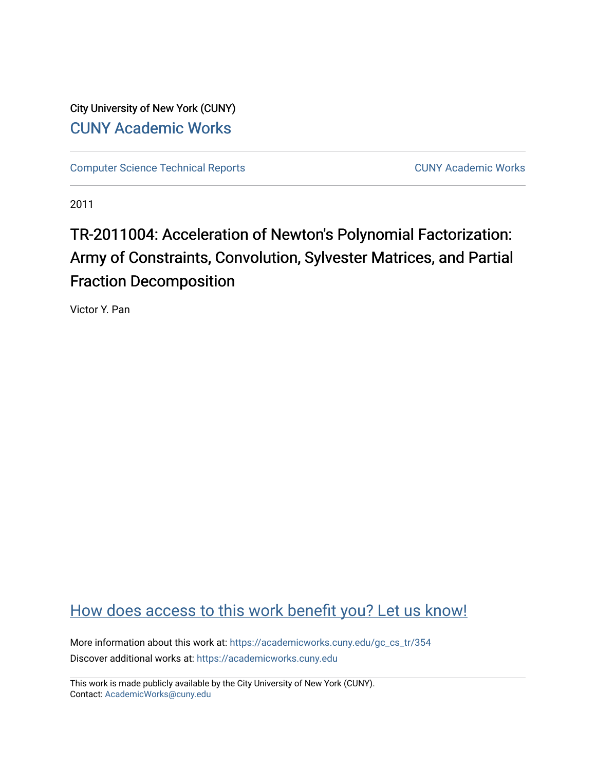City University of New York (CUNY) [CUNY Academic Works](https://academicworks.cuny.edu/) 

[Computer Science Technical Reports](https://academicworks.cuny.edu/gc_cs_tr) **CUNY Academic Works** CUNY Academic Works

2011

# TR-2011004: Acceleration of Newton's Polynomial Factorization: Army of Constraints, Convolution, Sylvester Matrices, and Partial Fraction Decomposition

Victor Y. Pan

## [How does access to this work benefit you? Let us know!](http://ols.cuny.edu/academicworks/?ref=https://academicworks.cuny.edu/gc_cs_tr/354)

More information about this work at: [https://academicworks.cuny.edu/gc\\_cs\\_tr/354](https://academicworks.cuny.edu/gc_cs_tr/354)  Discover additional works at: [https://academicworks.cuny.edu](https://academicworks.cuny.edu/?)

This work is made publicly available by the City University of New York (CUNY). Contact: [AcademicWorks@cuny.edu](mailto:AcademicWorks@cuny.edu)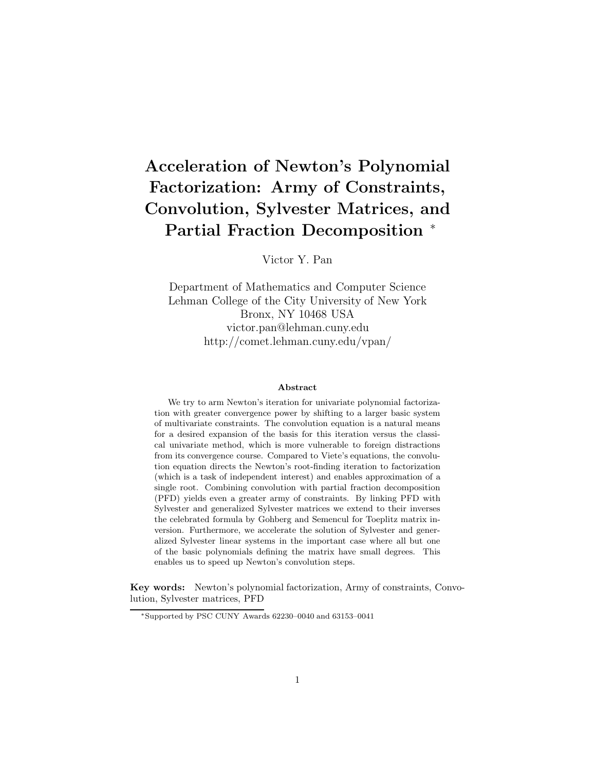## **Acceleration of Newton's Polynomial Factorization: Army of Constraints, Convolution, Sylvester Matrices, and Partial Fraction Decomposition** <sup>∗</sup>

Victor Y. Pan

Department of Mathematics and Computer Science Lehman College of the City University of New York Bronx, NY 10468 USA victor.pan@lehman.cuny.edu http://comet.lehman.cuny.edu/vpan/

#### **Abstract**

We try to arm Newton's iteration for univariate polynomial factorization with greater convergence power by shifting to a larger basic system of multivariate constraints. The convolution equation is a natural means for a desired expansion of the basis for this iteration versus the classical univariate method, which is more vulnerable to foreign distractions from its convergence course. Compared to Viete's equations, the convolution equation directs the Newton's root-finding iteration to factorization (which is a task of independent interest) and enables approximation of a single root. Combining convolution with partial fraction decomposition (PFD) yields even a greater army of constraints. By linking PFD with Sylvester and generalized Sylvester matrices we extend to their inverses the celebrated formula by Gohberg and Semencul for Toeplitz matrix inversion. Furthermore, we accelerate the solution of Sylvester and generalized Sylvester linear systems in the important case where all but one of the basic polynomials defining the matrix have small degrees. This enables us to speed up Newton's convolution steps.

**Key words:** Newton's polynomial factorization, Army of constraints, Convolution, Sylvester matrices, PFD

<sup>∗</sup>Supported by PSC CUNY Awards 62230–0040 and 63153–0041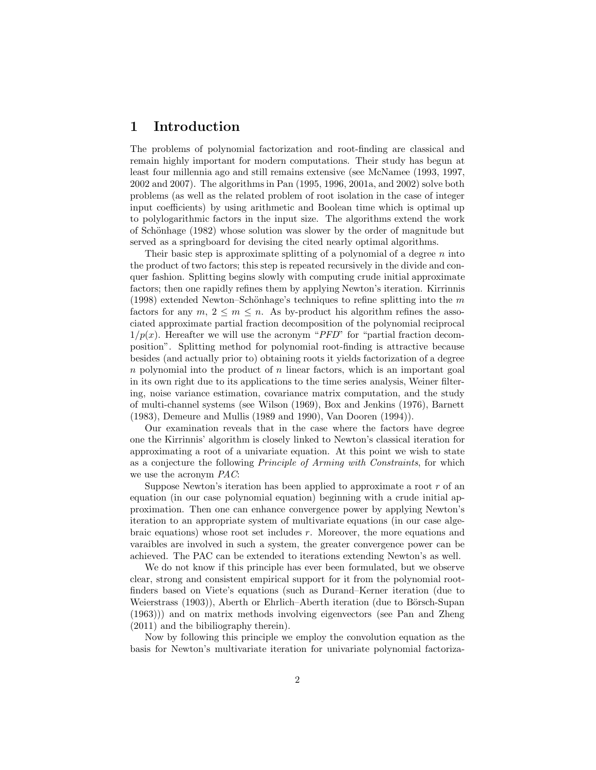## **1 Introduction**

The problems of polynomial factorization and root-finding are classical and remain highly important for modern computations. Their study has begun at least four millennia ago and still remains extensive (see McNamee (1993, 1997, 2002 and 2007). The algorithms in Pan (1995, 1996, 2001a, and 2002) solve both problems (as well as the related problem of root isolation in the case of integer input coefficients) by using arithmetic and Boolean time which is optimal up to polylogarithmic factors in the input size. The algorithms extend the work of Schönhage (1982) whose solution was slower by the order of magnitude but served as a springboard for devising the cited nearly optimal algorithms.

Their basic step is approximate splitting of a polynomial of a degree *n* into the product of two factors; this step is repeated recursively in the divide and conquer fashion. Splitting begins slowly with computing crude initial approximate factors; then one rapidly refines them by applying Newton's iteration. Kirrinnis (1998) extended Newton–Schönhage's techniques to refine splitting into the  $m$ factors for any  $m, 2 \leq m \leq n$ . As by-product his algorithm refines the associated approximate partial fraction decomposition of the polynomial reciprocal  $1/p(x)$ . Hereafter we will use the acronym "*PFD*" for "partial fraction decomposition". Splitting method for polynomial root-finding is attractive because besides (and actually prior to) obtaining roots it yields factorization of a degree *n* polynomial into the product of *n* linear factors, which is an important goal in its own right due to its applications to the time series analysis, Weiner filtering, noise variance estimation, covariance matrix computation, and the study of multi-channel systems (see Wilson (1969), Box and Jenkins (1976), Barnett (1983), Demeure and Mullis (1989 and 1990), Van Dooren (1994)).

Our examination reveals that in the case where the factors have degree one the Kirrinnis' algorithm is closely linked to Newton's classical iteration for approximating a root of a univariate equation. At this point we wish to state as a conjecture the following *Principle of Arming with Constraints*, for which we use the acronym *PAC*:

Suppose Newton's iteration has been applied to approximate a root *r* of an equation (in our case polynomial equation) beginning with a crude initial approximation. Then one can enhance convergence power by applying Newton's iteration to an appropriate system of multivariate equations (in our case algebraic equations) whose root set includes *r*. Moreover, the more equations and varaibles are involved in such a system, the greater convergence power can be achieved. The PAC can be extended to iterations extending Newton's as well.

We do not know if this principle has ever been formulated, but we observe clear, strong and consistent empirical support for it from the polynomial rootfinders based on Viete's equations (such as Durand–Kerner iteration (due to Weierstrass (1903)), Aberth or Ehrlich–Aberth iteration (due to Börsch-Supan (1963))) and on matrix methods involving eigenvectors (see Pan and Zheng (2011) and the bibiliography therein).

Now by following this principle we employ the convolution equation as the basis for Newton's multivariate iteration for univariate polynomial factoriza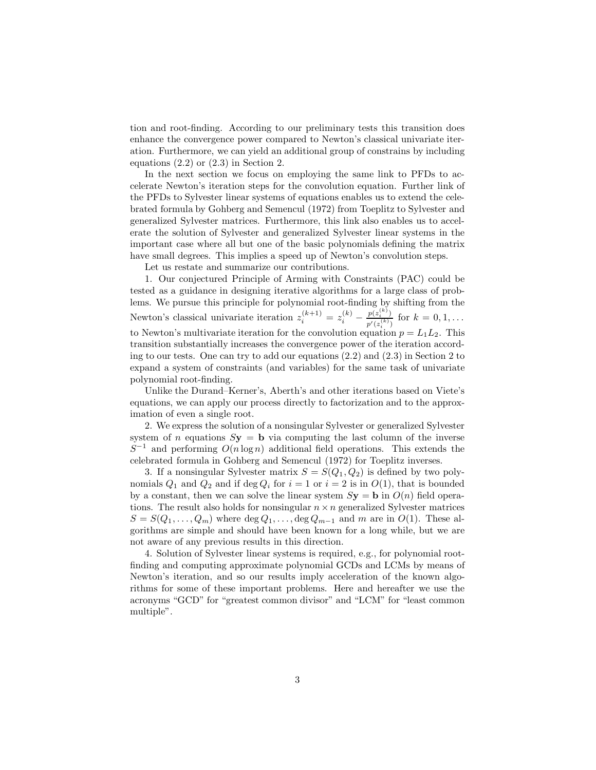tion and root-finding. According to our preliminary tests this transition does enhance the convergence power compared to Newton's classical univariate iteration. Furthermore, we can yield an additional group of constrains by including equations  $(2.2)$  or  $(2.3)$  in Section 2.

In the next section we focus on employing the same link to PFDs to accelerate Newton's iteration steps for the convolution equation. Further link of the PFDs to Sylvester linear systems of equations enables us to extend the celebrated formula by Gohberg and Semencul (1972) from Toeplitz to Sylvester and generalized Sylvester matrices. Furthermore, this link also enables us to accelerate the solution of Sylvester and generalized Sylvester linear systems in the important case where all but one of the basic polynomials defining the matrix have small degrees. This implies a speed up of Newton's convolution steps.

Let us restate and summarize our contributions.

1. Our conjectured Principle of Arming with Constraints (PAC) could be tested as a guidance in designing iterative algorithms for a large class of problems. We pursue this principle for polynomial root-finding by shifting from the Newton's classical univariate iteration  $z_i^{(k+1)} = z_i^{(k)} - \frac{p(z_i^{(k)})}{p'(z_i^{(k)})}$  $\frac{p(z_i)}{p'(z_i^{(k)})}$  for  $k = 0, 1, ...$ to Newton's multivariate iteration for the convolution equation  $p = L_1 L_2$ . This transition substantially increases the convergence power of the iteration according to our tests. One can try to add our equations (2.2) and (2.3) in Section 2 to expand a system of constraints (and variables) for the same task of univariate polynomial root-finding.

Unlike the Durand–Kerner's, Aberth's and other iterations based on Viete's equations, we can apply our process directly to factorization and to the approximation of even a single root.

2. We express the solution of a nonsingular Sylvester or generalized Sylvester system of *n* equations  $S$ **y** = **b** via computing the last column of the inverse *S*<sup>−1</sup> and performing *O*(*n* log *n*) additional field operations. This extends the celebrated formula in Gohberg and Semencul (1972) for Toeplitz inverses.

3. If a nonsingular Sylvester matrix  $S = S(Q_1, Q_2)$  is defined by two polynomials  $Q_1$  and  $Q_2$  and if deg  $Q_i$  for  $i = 1$  or  $i = 2$  is in  $O(1)$ , that is bounded by a constant, then we can solve the linear system  $S$ **y** = **b** in  $O(n)$  field operations. The result also holds for nonsingular  $n \times n$  generalized Sylvester matrices  $S = S(Q_1, \ldots, Q_m)$  where  $\deg Q_1, \ldots, \deg Q_{m-1}$  and *m* are in *O*(1). These algorithms are simple and should have been known for a long while, but we are not aware of any previous results in this direction.

4. Solution of Sylvester linear systems is required, e.g., for polynomial rootfinding and computing approximate polynomial GCDs and LCMs by means of Newton's iteration, and so our results imply acceleration of the known algorithms for some of these important problems. Here and hereafter we use the acronyms "GCD" for "greatest common divisor" and "LCM" for "least common multiple".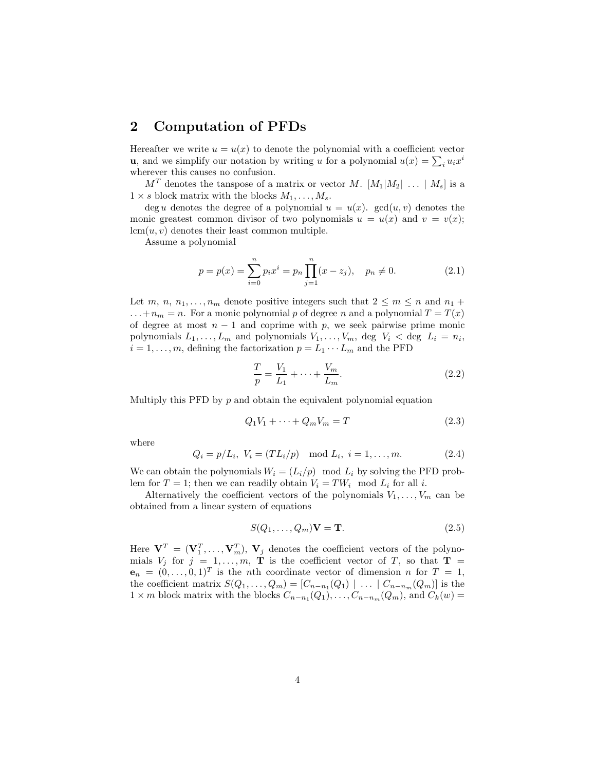## **2 Computation of PFDs**

Hereafter we write  $u = u(x)$  to denote the polynomial with a coefficient vector **u**, and we simplify our notation by writing *u* for a polynomial  $u(x) = \sum_i u_i x^i$ wherever this causes no confusion.

 $M<sup>T</sup>$  denotes the tanspose of a matrix or vector *M*.  $[M_1|M_2| \ldots | M_s]$  is a  $1 \times s$  block matrix with the blocks  $M_1, \ldots, M_s$ .

deg *u* denotes the degree of a polynomial  $u = u(x)$ . gcd $(u, v)$  denotes the monic greatest common divisor of two polynomials  $u = u(x)$  and  $v = v(x)$ ;  $lcm(u, v)$  denotes their least common multiple.

Assume a polynomial

$$
p = p(x) = \sum_{i=0}^{n} p_i x^i = p_n \prod_{j=1}^{n} (x - z_j), \quad p_n \neq 0.
$$
 (2.1)

Let *m*, *n*, *n*<sub>1</sub>,..., *n*<sub>*m*</sub> denote positive integers such that  $2 \le m \le n$  and  $n_1 +$  $\dots$  +  $n_m = n$ . For a monic polynomial *p* of degree *n* and a polynomial  $T = T(x)$ of degree at most  $n-1$  and coprime with p, we seek pairwise prime monic polynomials  $L_1, \ldots, L_m$  and polynomials  $V_1, \ldots, V_m$ , deg  $V_i <$  deg  $L_i = n_i$ ,  $i = 1, \ldots, m$ , defining the factorization  $p = L_1 \cdots L_m$  and the PFD

$$
\frac{T}{p} = \frac{V_1}{L_1} + \dots + \frac{V_m}{L_m}.\tag{2.2}
$$

Multiply this PFD by *p* and obtain the equivalent polynomial equation

$$
Q_1V_1 + \dots + Q_mV_m = T \tag{2.3}
$$

where

$$
Q_i = p/L_i, V_i = (TL_i/p) \mod L_i, i = 1,...,m.
$$
 (2.4)

We can obtain the polynomials  $W_i = (L_i/p) \mod L_i$  by solving the PFD problem for  $T = 1$ ; then we can readily obtain  $V_i = TW_i \mod L_i$  for all *i*.

Alternatively the coefficient vectors of the polynomials  $V_1, \ldots, V_m$  can be obtained from a linear system of equations

$$
S(Q_1, \dots, Q_m)\mathbf{V} = \mathbf{T}.\tag{2.5}
$$

Here  $V^T = (V_1^T, \ldots, V_m^T)$ ,  $V_j$  denotes the coefficient vectors of the polynomials  $V_j$  for  $j = 1, \ldots, m$ , **T** is the coefficient vector of *T*, so that **T** =  $\mathbf{e}_n = (0, \ldots, 0, 1)^T$  is the *n*th coordinate vector of dimension *n* for  $T = 1$ , the coefficient matrix  $S(Q_1, \ldots, Q_m) = [C_{n-n_1}(Q_1) \mid \ldots \mid C_{n-n_m}(Q_m)]$  is the  $1 \times m$  block matrix with the blocks  $C_{n-n_1}(Q_1), \ldots, C_{n-n_m}(Q_m)$ , and  $C_k(w) =$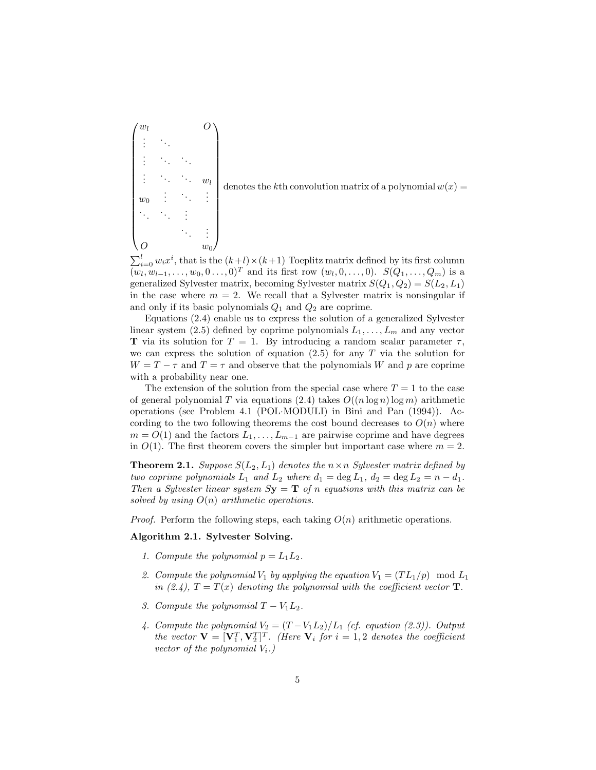$\sqrt{ }$  *w<sup>l</sup> O*  $\frac{1}{2}$ . . . . ... ...  $\vdots$   $\ddots$   $\ddots$   $w_l$ *w*<sup>0</sup> . . . ... . . . ... ... . . . ... . . . *O w*<sup>0</sup>  $\setminus$  $\begin{array}{c} \begin{array}{c} \begin{array}{c} \end{array} \\ \begin{array}{c} \end{array} \end{array} \end{array}$ 

denotes the *k*<sup>th</sup> convolution matrix of a polynomial  $w(x) =$ 

 $\sum_{i=0}^{l} w_i x^i$ , that is the  $(k+l) \times (k+1)$  Toeplitz matrix defined by its first column  $(w_l, w_{l-1}, \ldots, w_0, 0 \ldots, 0)^T$  and its first row  $(w_l, 0, \ldots, 0)$ .  $S(Q_1, \ldots, Q_m)$  is a generalized Sylvester matrix, becoming Sylvester matrix  $S(Q_1, Q_2) = S(L_2, L_1)$ in the case where  $m = 2$ . We recall that a Sylvester matrix is nonsingular if and only if its basic polynomials *Q*<sup>1</sup> and *Q*<sup>2</sup> are coprime.

Equations (2.4) enable us to express the solution of a generalized Sylvester linear system (2.5) defined by coprime polynomials  $L_1, \ldots, L_m$  and any vector **T** via its solution for  $T = 1$ . By introducing a random scalar parameter  $\tau$ , we can express the solution of equation  $(2.5)$  for any  $T$  via the solution for  $W = T - \tau$  and  $T = \tau$  and observe that the polynomials *W* and *p* are coprime with a probability near one.

The extension of the solution from the special case where  $T = 1$  to the case of general polynomial *T* via equations (2.4) takes  $O((n \log n) \log m)$  arithmetic operations (see Problem 4.1 (POL·MODULI) in Bini and Pan (1994)). According to the two following theorems the cost bound decreases to  $O(n)$  where  $m = O(1)$  and the factors  $L_1, \ldots, L_{m-1}$  are pairwise coprime and have degrees in  $O(1)$ . The first theorem covers the simpler but important case where  $m = 2$ .

**Theorem 2.1.** *Suppose*  $S(L_2, L_1)$  *denotes the*  $n \times n$  *Sylvester matrix defined by two coprime polynomials*  $L_1$  *and*  $L_2$  *where*  $d_1 = \deg L_1$ ,  $d_2 = \deg L_2 = n - d_1$ . *Then a Sylvester linear system*  $S_y = T$  *of n equations with this matrix can be solved by using O*(*n*) *arithmetic operations.*

*Proof.* Perform the following steps, each taking  $O(n)$  arithmetic operations.

#### **Algorithm 2.1. Sylvester Solving.**

- *1. Compute the polynomial*  $p = L_1 L_2$ .
- 2. Compute the polynomial  $V_1$  by applying the equation  $V_1 = (TL_1/p) \mod L_1$ *in (2.4),*  $T = T(x)$  *denoting the polynomial with the coefficient vector* **T***.*
- *3. Compute the polynomial*  $T V_1 L_2$ .
- 4. Compute the polynomial  $V_2 = (T V_1 L_2)/L_1$  (cf. equation (2.3)). Output *the vector*  $\mathbf{V} = [\mathbf{V}_1^T, \mathbf{V}_2^T]^T$ . (Here  $\mathbf{V}_i$  for  $i = 1, 2$  denotes the coefficient *vector of the polynomial*  $V_i$ *.*)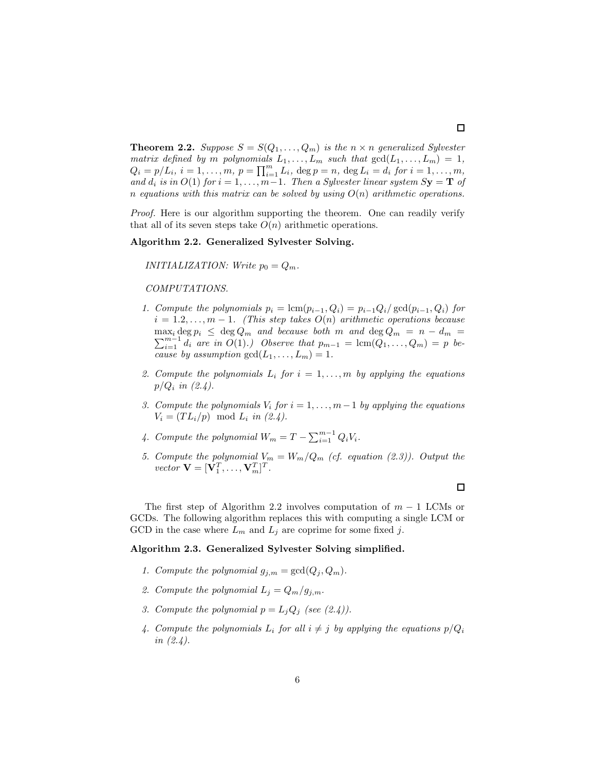**Theorem 2.2.** *Suppose*  $S = S(Q_1, \ldots, Q_m)$  *is the*  $n \times n$  *generalized Sylvester matrix defined by m polynomials*  $L_1, \ldots, L_m$  *such that*  $gcd(L_1, \ldots, L_m) = 1$ ,  $Q_i = p/L_i, i = 1, ..., m, p = \prod_{i=1}^{m} L_i$ ,  $\deg p = n$ ,  $\deg L_i = d_i$  for  $i = 1, ..., m$ , *and*  $d_i$  *is in*  $O(1)$  *for*  $i = 1, ..., m-1$ *. Then a Sylvester linear system*  $S$ **y** = **T** *of n* equations with this matrix can be solved by using  $O(n)$  arithmetic operations.

*Proof.* Here is our algorithm supporting the theorem. One can readily verify that all of its seven steps take  $O(n)$  arithmetic operations.

#### **Algorithm 2.2. Generalized Sylvester Solving.**

*INITIALIZATION: Write*  $p_0 = Q_m$ .

#### *COMPUTATIONS.*

- *1. Compute the polynomials*  $p_i = \text{lcm}(p_{i-1}, Q_i) = p_{i-1}Q_i/\text{gcd}(p_{i-1}, Q_i)$  for  $i = 1.2, \ldots, m - 1$ *. (This step takes*  $O(n)$  *arithmetic operations because*  $\sum_{i=1}^{m-1} d_i$  are in  $O(1)$ *.)* Observe that  $p_{m-1} = \text{lcm}(Q_1, \ldots, Q_m) = p$  be- $\max_i \deg p_i \leq \deg Q_m$  *and because both m and*  $\deg Q_m = n - d_m$ *cause by assumption*  $gcd(L_1, ..., L_m) = 1$ *.*
- 2. Compute the polynomials  $L_i$  for  $i = 1, \ldots, m$  by applying the equations *p/Q<sup>i</sup> in (2.4).*
- *3. Compute the polynomials*  $V_i$  *for*  $i = 1, \ldots, m-1$  *by applying the equations*  $V_i = (TL_i/p) \mod L_i \text{ in } (2.4).$
- 4. Compute the polynomial  $W_m = T \sum_{i=1}^{m-1} Q_i V_i$ .
- *5. Compute the polynomial*  $V_m = W_m/Q_m$  *(cf. equation (2.3)). Output the vector*  $\mathbf{V} = [\mathbf{V}_1^T, \dots, \mathbf{V}_m^T]^T$ .

The first step of Algorithm 2.2 involves computation of *m* − 1 LCMs or GCDs. The following algorithm replaces this with computing a single LCM or GCD in the case where  $L_m$  and  $L_j$  are coprime for some fixed j.

#### **Algorithm 2.3. Generalized Sylvester Solving simplified.**

- *1. Compute the polynomial*  $g_{j,m} = \gcd(Q_j, Q_m)$ *.*
- 2. Compute the polynomial  $L_i = Q_m / q_{i,m}$ .
- *3. Compute the polynomial*  $p = L_j Q_j$  *(see (2.4)).*
- 4. Compute the polynomials  $L_i$  for all  $i \neq j$  by applying the equations  $p/Q_i$ *in (2.4).*

 $\Box$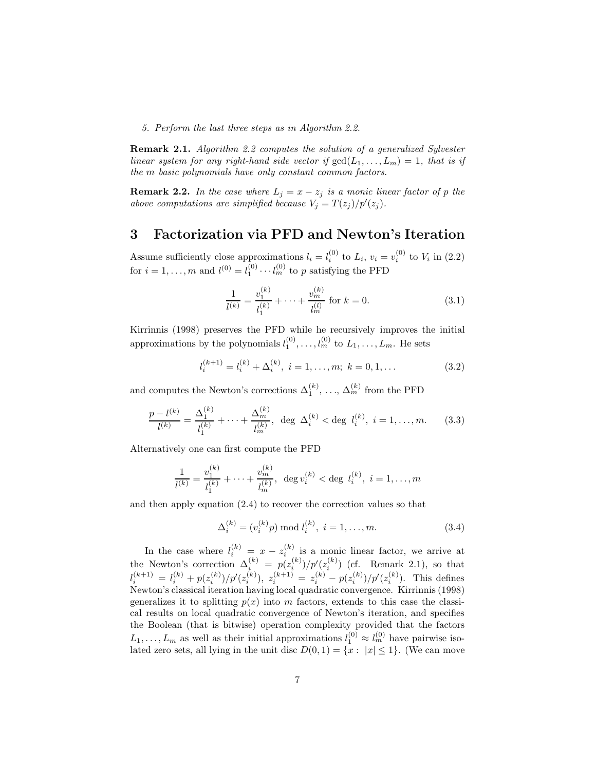*5. Perform the last three steps as in Algorithm 2.2.*

**Remark 2.1.** *Algorithm 2.2 computes the solution of a generalized Sylvester linear system for any right-hand side vector if*  $gcd(L_1, \ldots, L_m) = 1$ *, that is if the m basic polynomials have only constant common factors.*

**Remark 2.2.** *In the case where*  $L_j = x - z_j$  *is a monic linear factor of p the above computations are simplified because*  $V_j = T(z_j)/p'(z_j)$ .

## **3 Factorization via PFD and Newton's Iteration**

Assume sufficiently close approximations  $l_i = l_i^{(0)}$  to  $L_i$ ,  $v_i = v_i^{(0)}$  to  $V_i$  in (2.2) for  $i = 1, ..., m$  and  $l^{(0)} = l_1^{(0)} \cdots l_m^{(0)}$  to *p* satisfying the PFD

$$
\frac{1}{l^{(k)}} = \frac{v_1^{(k)}}{l_1^{(k)}} + \dots + \frac{v_m^{(k)}}{l_m^{(l)}} \text{ for } k = 0.
$$
 (3.1)

Kirrinnis (1998) preserves the PFD while he recursively improves the initial approximations by the polynomials  $l_1^{(0)}, \ldots, l_m^{(0)}$  to  $L_1, \ldots, L_m$ . He sets

$$
l_i^{(k+1)} = l_i^{(k)} + \Delta_i^{(k)}, \ i = 1, \dots, m; \ k = 0, 1, \dots
$$
 (3.2)

and computes the Newton's corrections  $\Delta_1^{(k)}$ , ...,  $\Delta_m^{(k)}$  from the PFD

$$
\frac{p - l^{(k)}}{l^{(k)}} = \frac{\Delta_1^{(k)}}{l_1^{(k)}} + \dots + \frac{\Delta_m^{(k)}}{l_m^{(k)}}, \text{ deg }\Delta_i^{(k)} < \text{deg } l_i^{(k)}, i = 1, \dots, m. \tag{3.3}
$$

Alternatively one can first compute the PFD

$$
\frac{1}{l^{(k)}} = \frac{v_1^{(k)}}{l_1^{(k)}} + \dots + \frac{v_m^{(k)}}{l_m^{(k)}}, \ \deg v_i^{(k)} < \deg l_i^{(k)}, \ i = 1, \dots, m
$$

and then apply equation (2.4) to recover the correction values so that

$$
\Delta_i^{(k)} = (v_i^{(k)}p) \bmod l_i^{(k)}, \ i = 1, \dots, m. \tag{3.4}
$$

In the case where  $l_i^{(k)} = x - z_i^{(k)}$  is a monic linear factor, we arrive at the Newton's correction  $\Delta_i^{(k)} = p(z_i^{(k)})/p'(z_i^{(k)})$  (cf. Remark 2.1), so that  $l_i^{(k+1)} = l_i^{(k)} + p(z_i^{(k)})/p'(z_i^{(k)}), z_i^{(k+1)} = z_i^{(k)} - p(z_i^{(k)})/p'(z_i^{(k)}).$  This defines Newton's classical iteration having local quadratic convergence. Kirrinnis (1998) generalizes it to splitting  $p(x)$  into *m* factors, extends to this case the classical results on local quadratic convergence of Newton's iteration, and specifies the Boolean (that is bitwise) operation complexity provided that the factors  $L_1, \ldots, L_m$  as well as their initial approximations  $l_1^{(0)} \approx l_m^{(0)}$  have pairwise isolated zero sets, all lying in the unit disc  $D(0,1) = \{x : |x| \leq 1\}$ . (We can move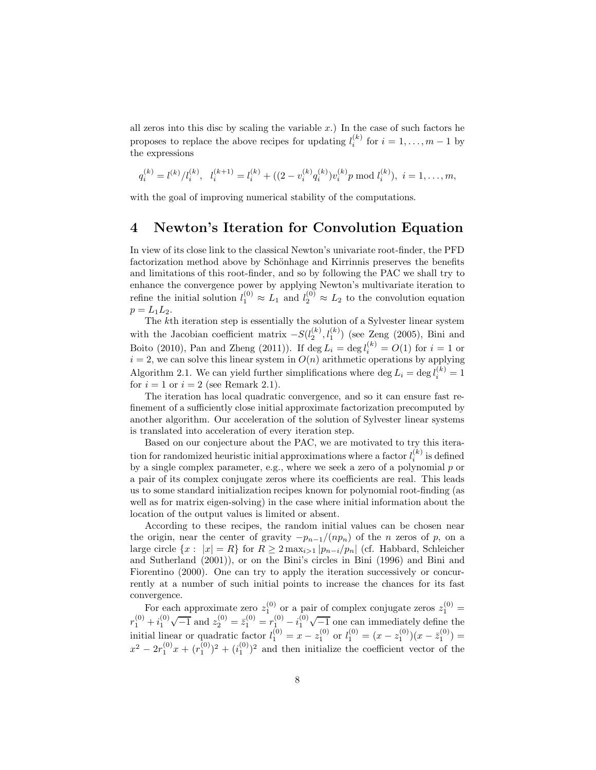all zeros into this disc by scaling the variable  $x$ .) In the case of such factors he proposes to replace the above recipes for updating  $l_i^{(k)}$  for  $i = 1, ..., m - 1$  by the expressions

$$
q_i^{(k)} = l^{(k)}/l_i^{(k)}, \quad l_i^{(k+1)} = l_i^{(k)} + ((2 - v_i^{(k)}q_i^{(k)})v_i^{(k)}) \mod l_i^{(k)}), \quad i = 1, \dots, m,
$$

with the goal of improving numerical stability of the computations.

### **4 Newton's Iteration for Convolution Equation**

In view of its close link to the classical Newton's univariate root-finder, the PFD factorization method above by Schönhage and Kirrinnis preserves the benefits and limitations of this root-finder, and so by following the PAC we shall try to enhance the convergence power by applying Newton's multivariate iteration to refine the initial solution  $l_1^{(0)} \approx L_1$  and  $l_2^{(0)} \approx L_2$  to the convolution equation  $p = L_1 L_2.$ 

The *k*th iteration step is essentially the solution of a Sylvester linear system with the Jacobian coefficient matrix  $-S(l_2^{(k)}, l_1^{(k)})$  (see Zeng (2005), Bini and Boito (2010), Pan and Zheng (2011)). If  $\deg L_i = \deg l_i^{(k)} = O(1)$  for  $i = 1$  or  $i = 2$ , we can solve this linear system in  $O(n)$  arithmetic operations by applying Algorithm 2.1. We can yield further simplifications where deg  $L_i = \deg l_i^{(k)} = 1$ for  $i = 1$  or  $i = 2$  (see Remark 2.1).

The iteration has local quadratic convergence, and so it can ensure fast refinement of a sufficiently close initial approximate factorization precomputed by another algorithm. Our acceleration of the solution of Sylvester linear systems is translated into acceleration of every iteration step.

Based on our conjecture about the PAC, we are motivated to try this iteration for randomized heuristic initial approximations where a factor  $l_i^{(k)}$  is defined by a single complex parameter, e.g., where we seek a zero of a polynomial *p* or a pair of its complex conjugate zeros where its coefficients are real. This leads us to some standard initialization recipes known for polynomial root-finding (as well as for matrix eigen-solving) in the case where initial information about the location of the output values is limited or absent.

According to these recipes, the random initial values can be chosen near the origin, near the center of gravity  $-p_{n-1}/(np_n)$  of the *n* zeros of *p*, on a large circle  $\{x : |x| = R\}$  for  $R \geq 2 \max_{i>1} |p_{n-i}/p_n|$  (cf. Habbard, Schleicher and Sutherland (2001)), or on the Bini's circles in Bini (1996) and Bini and Fiorentino (2000). One can try to apply the iteration successively or concurrently at a number of such initial points to increase the chances for its fast convergence.

For each approximate zero  $z_1^{(0)}$  or a pair of complex conjugate zeros  $z_1^{(0)}$  =  $r_1^{(0)} + i_1^{(0)}\sqrt{-1}$  and  $z_2^{(0)} = \bar{z}_1^{(0)} = r_1^{(0)} - i_1^{(0)}\sqrt{-1}$  one can immediately define the initial linear or quadratic factor  $l_1^{(0)} = x - z_1^{(0)}$  or  $l_1^{(0)} = (x - z_1^{(0)})(x - \bar{z}_1^{(0)}) =$  $x^2 - 2r_1^{(0)}x + (r_1^{(0)})^2 + (i_1^{(0)})^2$  and then initialize the coefficient vector of the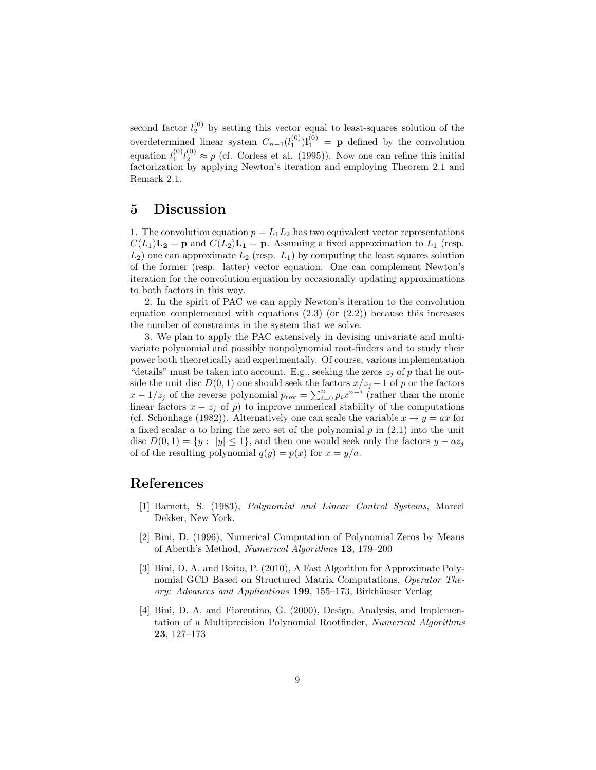second factor  $l_2^{(0)}$  by setting this vector equal to least-squares solution of the overdetermined linear system  $C_{n-1}(l_1^{(0)})$ **l**<sub>1</sub><sup>(0)</sup> = **p** defined by the convolution equation  $l_1^{(0)}l_2^{(0)} \approx p$  (cf. Corless et al. (1995)). Now one can refine this initial factorization by applying Newton's iteration and employing Theorem 2.1 and Remark 2.1.

## **5 Discussion**

1. The convolution equation  $p = L_1 L_2$  has two equivalent vector representations  $C(L_1)\mathbf{L_2} = \mathbf{p}$  and  $C(L_2)\mathbf{L_1} = \mathbf{p}$ . Assuming a fixed approximation to  $L_1$  (resp.  $L_2$ ) one can approximate  $L_2$  (resp.  $L_1$ ) by computing the least squares solution of the former (resp. latter) vector equation. One can complement Newton's iteration for the convolution equation by occasionally updating approximations to both factors in this way.

2. In the spirit of PAC we can apply Newton's iteration to the convolution equation complemented with equations  $(2.3)$  (or  $(2.2)$ ) because this increases the number of constraints in the system that we solve.

3. We plan to apply the PAC extensively in devising univariate and multivariate polynomial and possibly nonpolynomial root-finders and to study their power both theoretically and experimentally. Of course, various implementation "details" must be taken into account. E.g., seeking the zeros  $z_j$  of p that lie outside the unit disc  $D(0, 1)$  one should seek the factors  $x/z_j - 1$  of *p* or the factors  $x - 1/z_j$  of the reverse polynomial  $p_{\text{rev}} = \sum_{i=0}^n p_i x^{n-i}$  (rather than the monic linear factors  $x - z_j$  of  $p$ ) to improve numerical stability of the computations (cf. Schönhage (1982)). Alternatively one can scale the variable  $x \to y = ax$  for a fixed scalar *a* to bring the zero set of the polynomial *p* in (2.1) into the unit disc  $D(0, 1) = \{y : |y| \leq 1\}$ , and then one would seek only the factors  $y - az_j$ of of the resulting polynomial  $q(y) = p(x)$  for  $x = y/a$ .

## **References**

- [1] Barnett, S. (1983), *Polynomial and Linear Control Systems*, Marcel Dekker, New York.
- [2] Bini, D. (1996), Numerical Computation of Polynomial Zeros by Means of Aberth's Method, *Numerical Algorithms* **13**, 179–200
- [3] Bini, D. A. and Boito, P. (2010), A Fast Algorithm for Approximate Polynomial GCD Based on Structured Matrix Computations, *Operator Theory: Advances and Applications* 199, 155–173, Birkhäuser Verlag
- [4] Bini, D. A. and Fiorentino, G. (2000), Design, Analysis, and Implementation of a Multiprecision Polynomial Rootfinder, *Numerical Algorithms* **23**, 127–173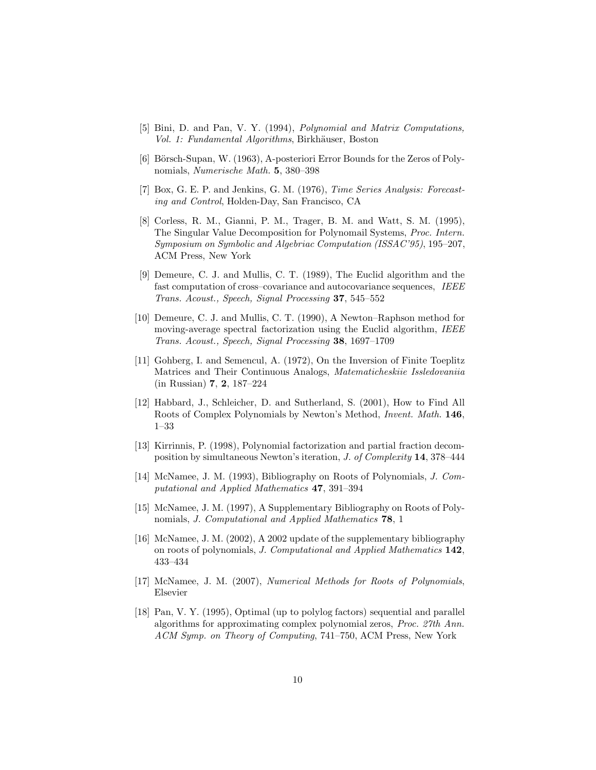- [5] Bini, D. and Pan, V. Y. (1994), *Polynomial and Matrix Computations, Vol. 1: Fundamental Algorithms*, Birkh¨auser, Boston
- [6] Börsch-Supan, W. (1963), A-posteriori Error Bounds for the Zeros of Polynomials, *Numerische Math.* **5**, 380–398
- [7] Box, G. E. P. and Jenkins, G. M. (1976), *Time Series Analysis: Forecasting and Control*, Holden-Day, San Francisco, CA
- [8] Corless, R. M., Gianni, P. M., Trager, B. M. and Watt, S. M. (1995), The Singular Value Decomposition for Polynomail Systems, *Proc. Intern. Symposium on Symbolic and Algebriac Computation (ISSAC'95)*, 195–207, ACM Press, New York
- [9] Demeure, C. J. and Mullis, C. T. (1989), The Euclid algorithm and the fast computation of cross–covariance and autocovariance sequences, *IEEE Trans. Acoust., Speech, Signal Processing* **37**, 545–552
- [10] Demeure, C. J. and Mullis, C. T. (1990), A Newton–Raphson method for moving-average spectral factorization using the Euclid algorithm, *IEEE Trans. Acoust., Speech, Signal Processing* **38**, 1697–1709
- [11] Gohberg, I. and Semencul, A. (1972), On the Inversion of Finite Toeplitz Matrices and Their Continuous Analogs, *Matematicheskiie Issledovaniia* (in Russian) **7**, **2**, 187–224
- [12] Habbard, J., Schleicher, D. and Sutherland, S. (2001), How to Find All Roots of Complex Polynomials by Newton's Method, *Invent. Math.* **146**, 1–33
- [13] Kirrinnis, P. (1998), Polynomial factorization and partial fraction decomposition by simultaneous Newton's iteration, *J. of Complexity* **14**, 378–444
- [14] McNamee, J. M. (1993), Bibliography on Roots of Polynomials, *J. Computational and Applied Mathematics* **47**, 391–394
- [15] McNamee, J. M. (1997), A Supplementary Bibliography on Roots of Polynomials, *J. Computational and Applied Mathematics* **78**, 1
- [16] McNamee, J. M. (2002), A 2002 update of the supplementary bibliography on roots of polynomials, *J. Computational and Applied Mathematics* **142**, 433–434
- [17] McNamee, J. M. (2007), *Numerical Methods for Roots of Polynomials*, Elsevier
- [18] Pan, V. Y. (1995), Optimal (up to polylog factors) sequential and parallel algorithms for approximating complex polynomial zeros, *Proc. 27th Ann. ACM Symp. on Theory of Computing*, 741–750, ACM Press, New York